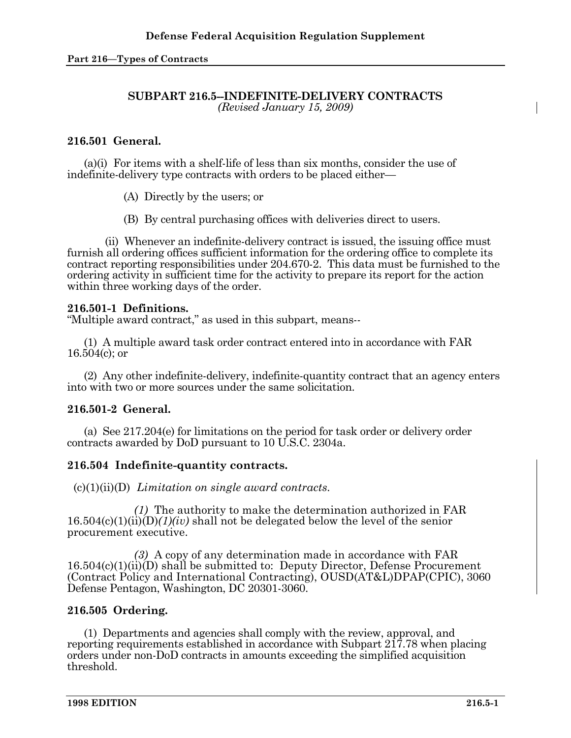#### **SUBPART 216.5--INDEFINITE-DELIVERY CONTRACTS**  *(Revised January 15, 2009)*

# **216.501 General.**

(a)(i)For items with a shelf-life of less than six months, consider the use of indefinite-delivery type contracts with orders to be placed either—

(A) Directly by the users; or

(B) By central purchasing offices with deliveries direct to users.

 (ii) Whenever an indefinite-delivery contract is issued, the issuing office must furnish all ordering offices sufficient information for the ordering office to complete its contract reporting responsibilities under 204.670-2. This data must be furnished to the ordering activity in sufficient time for the activity to prepare its report for the action within three working days of the order.

## **216.501-1 Definitions.**

"Multiple award contract," as used in this subpart, means--

 (1) A multiple award task order contract entered into in accordance with FAR 16.504(c); or

 (2) Any other indefinite-delivery, indefinite-quantity contract that an agency enters into with two or more sources under the same solicitation.

## **216.501-2 General.**

 (a) See 217.204(e) for limitations on the period for task order or delivery order contracts awarded by DoD pursuant to 10 U.S.C. 2304a.

## **216.504 Indefinite-quantity contracts.**

(c)(1)(ii)(D) *Limitation on single award contracts.*

 *(1)* The authority to make the determination authorized in FAR 16.504(c)(1)(ii)(D)*(1)(iv)* shall not be delegated below the level of the senior procurement executive.

 *(3)* A copy of any determination made in accordance with FAR  $16.504(c)(1)(ii)(D)$  shall be submitted to: Deputy Director, Defense Procurement (Contract Policy and International Contracting), OUSD(AT&L)DPAP(CPIC), 3060 Defense Pentagon, Washington, DC 20301-3060.

## **216.505 Ordering.**

 (1) Departments and agencies shall comply with the review, approval, and reporting requirements established in accordance with Subpart 217.78 when placing orders under non-DoD contracts in amounts exceeding the simplified acquisition threshold.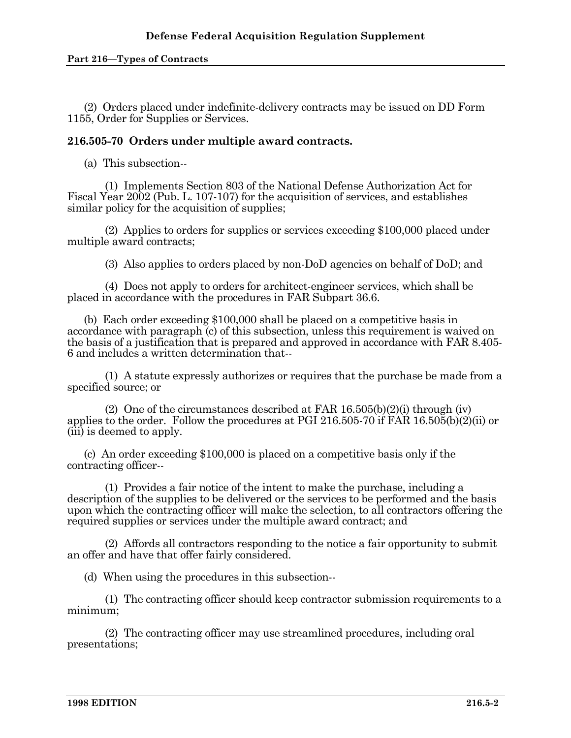#### **Part 216—Types of Contracts**

 (2) Orders placed under indefinite-delivery contracts may be issued on DD Form 1155, Order for Supplies or Services.

#### **216.505-70 Orders under multiple award contracts.**

(a) This subsection--

 (1) Implements Section 803 of the National Defense Authorization Act for Fiscal Year 2002 (Pub. L. 107-107) for the acquisition of services, and establishes similar policy for the acquisition of supplies;

 (2) Applies to orders for supplies or services exceeding \$100,000 placed under multiple award contracts;

(3) Also applies to orders placed by non-DoD agencies on behalf of DoD; and

 (4) Does not apply to orders for architect-engineer services, which shall be placed in accordance with the procedures in FAR Subpart 36.6.

 (b) Each order exceeding \$100,000 shall be placed on a competitive basis in accordance with paragraph (c) of this subsection, unless this requirement is waived on the basis of a justification that is prepared and approved in accordance with FAR 8.405- 6 and includes a written determination that--

 (1) A statute expressly authorizes or requires that the purchase be made from a specified source; or

 (2) One of the circumstances described at FAR 16.505(b)(2)(i) through (iv) applies to the order. Follow the procedures at PGI 216.505-70 if FAR 16.505(b)(2)(ii) or (iii) is deemed to apply.

 (c) An order exceeding \$100,000 is placed on a competitive basis only if the contracting officer--

 (1) Provides a fair notice of the intent to make the purchase, including a description of the supplies to be delivered or the services to be performed and the basis upon which the contracting officer will make the selection, to all contractors offering the required supplies or services under the multiple award contract; and

 (2) Affords all contractors responding to the notice a fair opportunity to submit an offer and have that offer fairly considered.

(d) When using the procedures in this subsection--

 (1) The contracting officer should keep contractor submission requirements to a minimum;

 (2) The contracting officer may use streamlined procedures, including oral presentations;